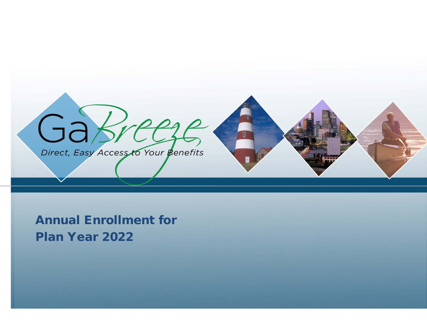

Annual Enrollment for Plan Year 2022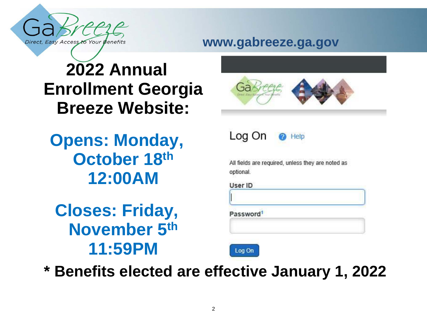

#### **www.gabreeze.ga.gov**

## **2022 Annual Enrollment Georgia Breeze Website:**

**Opens: Monday, October 18th 12:00AM**

**Closes: Friday, November 5th 11:59PM** 





Help

All fields are required, unless they are noted as optional.

User ID

Password<sup>1</sup>



**\* Benefits elected are effective January 1, 2022**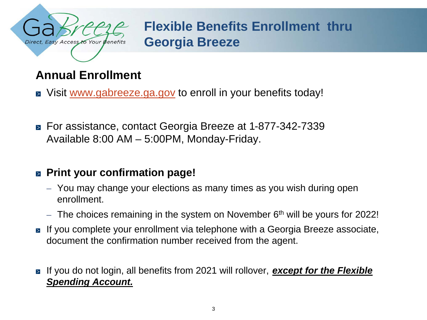

**Flexible Benefits Enrollment thru Georgia Breeze**

#### **Annual Enrollment**

- Visit [www.gabreeze.ga.gov](http://www.gabreeze.ga.gov/) to enroll in your benefits today!
- For assistance, contact Georgia Breeze at 1-877-342-7339 Available 8:00 AM – 5:00PM, Monday-Friday.

#### **Print your confirmation page!**

- You may change your elections as many times as you wish during open enrollment.
- $-$  The choices remaining in the system on November  $6<sup>th</sup>$  will be yours for 2022!
- If you complete your enrollment via telephone with a Georgia Breeze associate, document the confirmation number received from the agent.
- If you do not login, all benefits from 2021 will rollover, **except for the Flexible** *Spending Account.*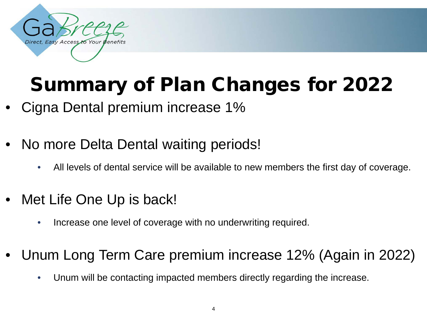

## Summary of Plan Changes for 2022

- Cigna Dental premium increase 1%
- No more Delta Dental waiting periods!
	- All levels of dental service will be available to new members the first day of coverage.
- Met Life One Up is back!
	- Increase one level of coverage with no underwriting required.
- Unum Long Term Care premium increase 12% (Again in 2022)
	- Unum will be contacting impacted members directly regarding the increase.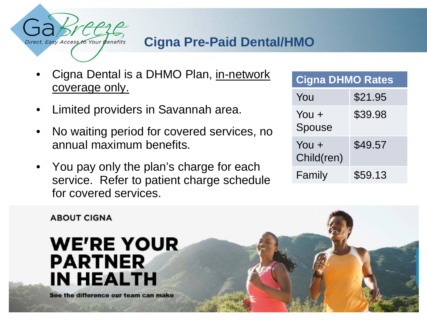

#### **Cigna Pre-Paid Dental/HMO**

- Cigna Dental is a DHMO Plan, in-network coverage only.
- Limited providers in Savannah area.
- No waiting period for covered services, no annual maximum benefits.
- You pay only the plan's charge for each service. Refer to patient charge schedule for covered services.

| <b>Cigna DHMO Rates</b> |         |  |  |
|-------------------------|---------|--|--|
| You                     | \$21.95 |  |  |
| You $+$<br>Spouse       | \$39.98 |  |  |
| You +<br>Child(ren)     | \$49.57 |  |  |
| Family                  | \$59.13 |  |  |

**ABOUT CIGNA** 

## **WE'RE YOUR PARTNER IN HEALTH**

See the difference our team can make

February 2010 5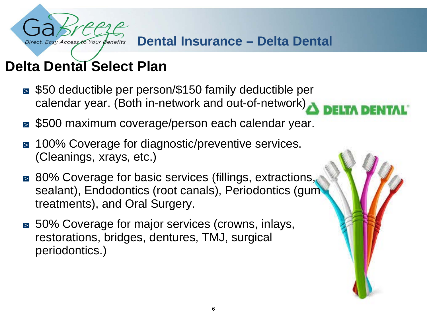

#### **Delta Dental Select Plan**

- \$50 deductible per person/\$150 family deductible per calendar year. (Both in-network and out-of-network)
- \$500 maximum coverage/person each calendar year.
- 100% Coverage for diagnostic/preventive services. (Cleanings, xrays, etc.)
- 80% Coverage for basic services (fillings, extractions, sealant), Endodontics (root canals), Periodontics (gum treatments), and Oral Surgery.
- 50% Coverage for major services (crowns, inlays, restorations, bridges, dentures, TMJ, surgical periodontics.)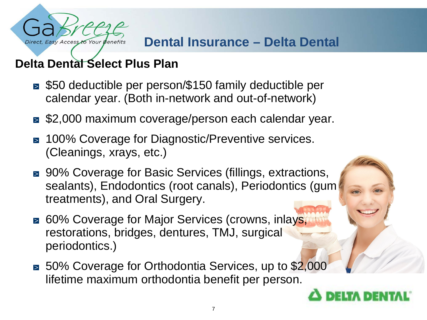

#### **Dental Insurance – Delta Dental**

#### **Delta Dental Select Plus Plan**

- \$50 deductible per person/\$150 family deductible per calendar year. (Both in-network and out-of-network)
- \$2,000 maximum coverage/person each calendar year.
- 100% Coverage for Diagnostic/Preventive services.  $\geq$ (Cleanings, xrays, etc.)
- 90% Coverage for Basic Services (fillings, extractions, sealants), Endodontics (root canals), Periodontics (gum treatments), and Oral Surgery.
- 60% Coverage for Major Services (crowns, inlays, restorations, bridges, dentures, TMJ, surgical periodontics.)
- 50% Coverage for Orthodontia Services, up to \$2,000 lifetime maximum orthodontia benefit per person.

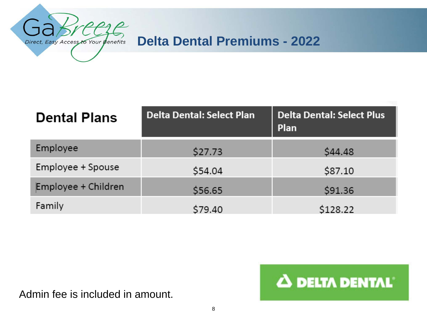

#### **Delta Dental Premiums - 2022**

| <b>Dental Plans</b> | Delta Dental: Select Plan | <b>Delta Dental: Select Plus</b><br>Plan |  |
|---------------------|---------------------------|------------------------------------------|--|
| Employee            | \$27.73                   | \$44.48                                  |  |
| Employee + Spouse   | \$54.04                   | \$87.10                                  |  |
| Employee + Children | \$56.65                   | \$91.36                                  |  |
| Family              | \$79.40                   | \$128.22                                 |  |

Admin fee is included in amount.

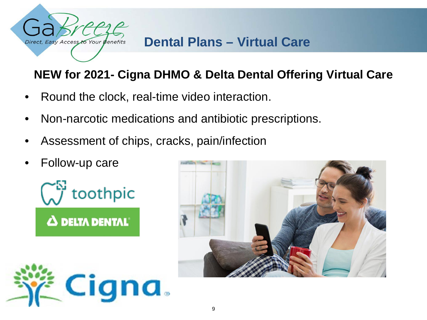

#### **Dental Plans – Virtual Care**

#### **NEW for 2021- Cigna DHMO & Delta Dental Offering Virtual Care**

- Round the clock, real-time video interaction.
- Non-narcotic medications and antibiotic prescriptions.
- Assessment of chips, cracks, pain/infection
- Follow-up care





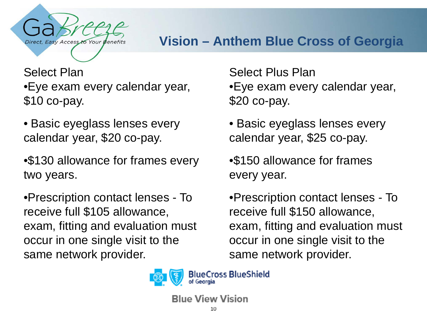

#### **Vision – Anthem Blue Cross of Georgia**

Select Plan •Eye exam every calendar year, \$10 co-pay.

• Basic eyeglass lenses every calendar year, \$20 co-pay.

•\$130 allowance for frames every two years.

•Prescription contact lenses - To receive full \$105 allowance, exam, fitting and evaluation must occur in one single visit to the same network provider.

Select Plus Plan •Eye exam every calendar year, \$20 co-pay.

• Basic eyeglass lenses every calendar year, \$25 co-pay.

•\$150 allowance for frames every year.

•Prescription contact lenses - To receive full \$150 allowance, exam, fitting and evaluation must occur in one single visit to the same network provider.



**BlueCross BlueShield** 

**Blue View Vision**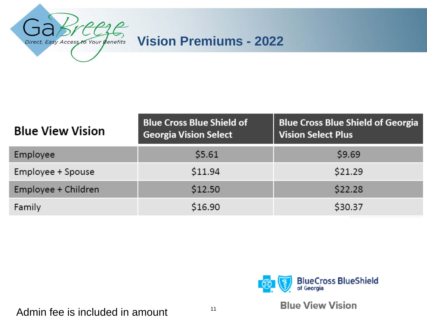

#### **Vision Premiums - 2022**

| <b>Blue View Vision</b> | <b>Blue Cross Blue Shield of</b><br><b>Georgia Vision Select</b> | <b>Blue Cross Blue Shield of Georgia</b><br><b>Vision Select Plus</b> |  |
|-------------------------|------------------------------------------------------------------|-----------------------------------------------------------------------|--|
| Employee                | \$5.61                                                           | \$9.69                                                                |  |
| Employee + Spouse       | \$11.94                                                          | \$21.29                                                               |  |
| Employee + Children     | \$12.50                                                          | \$22.28                                                               |  |
| Family                  | \$16.90                                                          | \$30.37                                                               |  |



**Blue View Vision** 

#### Admin fee is included in amount  $11$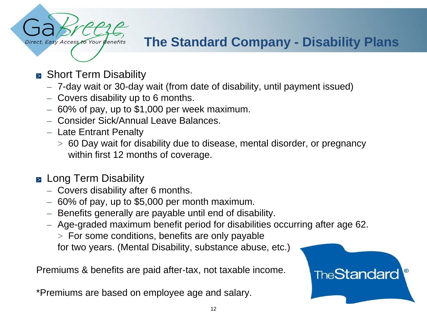

#### **The Standard Company - Disability Plans**

- Short Term Disability
	- 7-day wait or 30-day wait (from date of disability, until payment issued)
	- Covers disability up to 6 months.
	- $-60\%$  of pay, up to \$1,000 per week maximum.
	- Consider Sick/Annual Leave Balances.
	- Late Entrant Penalty
		- > 60 Day wait for disability due to disease, mental disorder, or pregnancy within first 12 months of coverage.
- **E** Long Term Disability
	- Covers disability after 6 months.
	- $-60\%$  of pay, up to \$5,000 per month maximum.
	- Benefits generally are payable until end of disability.
	- Age-graded maximum benefit period for disabilities occurring after age 62.
		- > For some conditions, benefits are only payable

for two years. (Mental Disability, substance abuse, etc.)

Premiums & benefits are paid after-tax, not taxable income.

\*Premiums are based on employee age and salary.

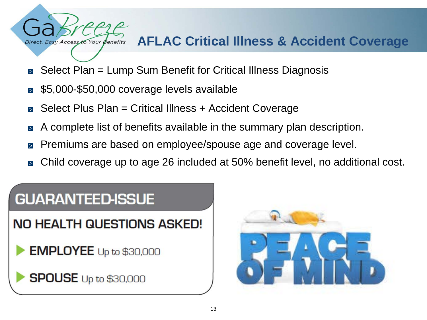#### **AFLAC Critical Illness & Accident Coverage**

- Select Plan = Lump Sum Benefit for Critical Illness Diagnosis
- \$5,000-\$50,000 coverage levels available
- Select Plus Plan = Critical Illness + Accident Coverage
- A complete list of benefits available in the summary plan description.
- Premiums are based on employee/spouse age and coverage level.
- Child coverage up to age 26 included at 50% benefit level, no additional cost.

# **GUARANTEED-ISSUE**

Direct, Easy Access to Your Benefits

**NO HEALTH QUESTIONS ASKED!** 

**EMPLOYEE** Up to \$30,000

**SPOUSE** Up to \$30,000

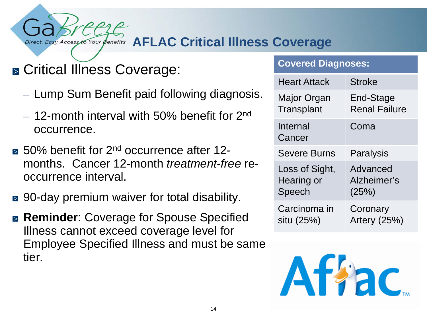#### **AFLAC Critical Illness Coverage** Easy Access to Your Benefits

### ■ Critical Illness Coverage:

- Lump Sum Benefit paid following diagnosis.
- $-$  12-month interval with 50% benefit for 2<sup>nd</sup> occurrence.
- **50% benefit for 2<sup>nd</sup> occurrence after 12**months. Cancer 12-month *treatment-free* reoccurrence interval.
- 90-day premium waiver for total disability.
- **Reminder:** Coverage for Spouse Specified Illness cannot exceed coverage level for Employee Specified Illness and must be same tier.

#### **Covered Diagnoses:**

| <b>Heart Attack</b> | <b>Stroke</b>        |
|---------------------|----------------------|
| Major Organ         | End-Stage            |
| Transplant          | <b>Renal Failure</b> |
| Internal<br>Cancer  | Coma                 |
| <b>Severe Burns</b> | Paralysis            |
| Loss of Sight,      | Advanced             |
| Hearing or          | Alzheimer's          |
| Speech              | (25%)                |
| Carcinoma in        | Coronary             |
| situ (25%)          | Artery (25%)         |

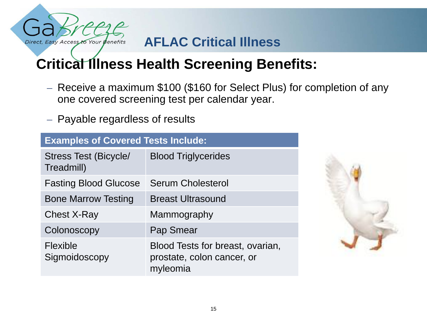

#### **AFLAC Critical Illness**

### **Critical Illness Health Screening Benefits:**

- Receive a maximum \$100 (\$160 for Select Plus) for completion of any one covered screening test per calendar year.
- Payable regardless of results

| <b>Examples of Covered Tests Include:</b>  |                                                                            |  |
|--------------------------------------------|----------------------------------------------------------------------------|--|
| <b>Stress Test (Bicycle/</b><br>Treadmill) | <b>Blood Triglycerides</b>                                                 |  |
| <b>Fasting Blood Glucose</b>               | <b>Serum Cholesterol</b>                                                   |  |
| <b>Bone Marrow Testing</b>                 | <b>Breast Ultrasound</b>                                                   |  |
| <b>Chest X-Ray</b>                         | Mammography                                                                |  |
| Colonoscopy                                | Pap Smear                                                                  |  |
| <b>Flexible</b><br>Sigmoidoscopy           | Blood Tests for breast, ovarian,<br>prostate, colon cancer, or<br>myleomia |  |

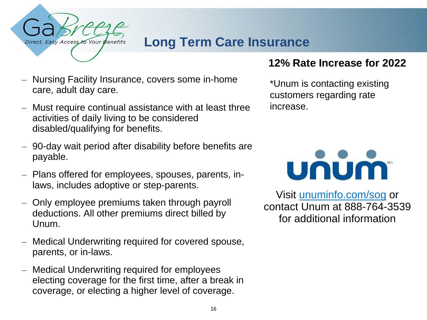

#### **Long Term Care Insurance**

- Nursing Facility Insurance, covers some in-home care, adult day care.
- Must require continual assistance with at least three activities of daily living to be considered disabled/qualifying for benefits.
- 90-day wait period after disability before benefits are payable.
- Plans offered for employees, spouses, parents, inlaws, includes adoptive or step-parents.
- Only employee premiums taken through payroll deductions. All other premiums direct billed by Unum.
- Medical Underwriting required for covered spouse, parents, or in-laws.
- Medical Underwriting required for employees electing coverage for the first time, after a break in coverage, or electing a higher level of coverage.

#### **12% Rate Increase for 2022**

\*Unum is contacting existing customers regarding rate increase.



Visit unuminfo.com/sog or contact Unum at 888-764-3539 for additional information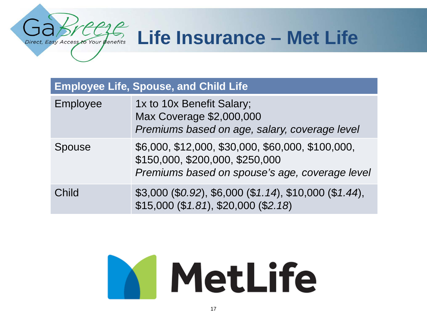## **Life Insurance – Met Life**

| <b>Employee Life, Spouse, and Child Life</b> |                                                                                                                                        |  |
|----------------------------------------------|----------------------------------------------------------------------------------------------------------------------------------------|--|
| Employee                                     | 1x to 10x Benefit Salary;<br>Max Coverage \$2,000,000<br>Premiums based on age, salary, coverage level                                 |  |
| <b>Spouse</b>                                | \$6,000, \$12,000, \$30,000, \$60,000, \$100,000,<br>\$150,000, \$200,000, \$250,000<br>Premiums based on spouse's age, coverage level |  |
| Child                                        | $$3,000 ($0.92), $6,000 ($1.14), $10,000 ($1.44),$<br>\$15,000 (\$1.81), \$20,000 (\$2.18)                                             |  |

Direct, Easy Access to Your Benefits

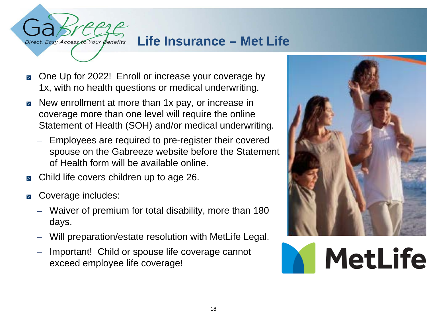

- One Up for 2022! Enroll or increase your coverage by  $\geq$ 1x, with no health questions or medical underwriting.
- New enrollment at more than 1x pay, or increase in coverage more than one level will require the online Statement of Health (SOH) and/or medical underwriting.
	- Employees are required to pre-register their covered spouse on the Gabreeze website before the Statement of Health form will be available online.
- Child life covers children up to age 26.  $\geq$
- Coverage includes:

Direct, Easy Access to Your Benefits

- Waiver of premium for total disability, more than 180 days.
- Will preparation/estate resolution with MetLife Legal.
- Important! Child or spouse life coverage cannot exceed employee life coverage!



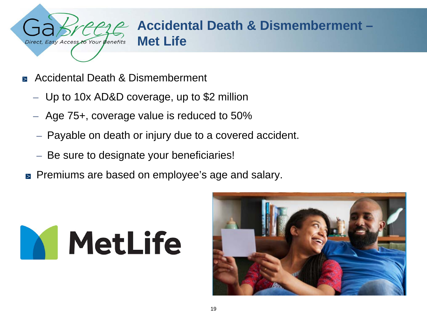

- Accidental Death & Dismemberment
	- Up to 10x AD&D coverage, up to \$2 million
	- Age 75+, coverage value is reduced to 50%
	- Payable on death or injury due to a covered accident.
	- Be sure to designate your beneficiaries!
- **Premiums are based on employee's age and salary.**



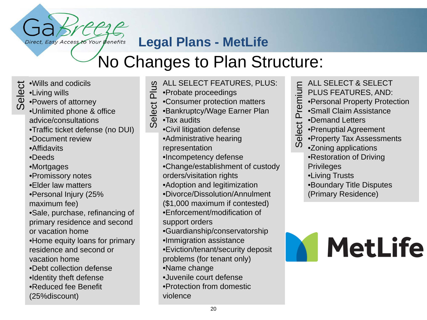#### **Legal Plans - MetLife**

## No Changes to Plan Structure:

- •Wills and codicils
- •Living wills
- <del>U</del> •Wills and codicils<br>
<u>Φ</u> •Living wills<br> *Φ* •Powers of attorney<br>*Ο* Helissited attorney
	- •Unlimited phone & office advice/consultations

Direct, Easy Access to Your Benefits

- •Traffic ticket defense (no DUI)
- •Document review
- •Affidavits
- •Deeds
- •Mortgages
- •Promissory notes
- •Elder law matters
- •Personal Injury (25% maximum fee)
- •Sale, purchase, refinancing of
- primary residence and second
- or vacation home
- •Home equity loans for primary residence and second or
- vacation home
- •Debt collection defense
- •Identity theft defense
- •Reduced fee Benefit
- (25%discount)
- ALL SELECT FEATURES, PLUS: **S**
- Select Plus ت<br>م •Probate proceedings
- Select I •Consumer protection matters
	- •Bankruptcy/Wage Earner Plan
	- •Tax audits
	- •Civil litigation defense •Administrative hearing representation
		- •Incompetency defense
	- •Change/establishment of custody orders/visitation rights
	- •Adoption and legitimization
	- •Divorce/Dissolution/Annulment
	- (\$1,000 maximum if contested)
	- •Enforcement/modification of support orders
	- •Guardianship/conservatorship
	- •Immigration assistance
	- •Eviction/tenant/security deposit problems (for tenant only)
	- •Name change
	- •Juvenile court defense
	- •Protection from domestic
	- violence
- ALL SELECT & SELECT PLUS FEATURES, AND:
- •Personal Property Protection
- •Small Claim Assistance
- •Demand Letters
- •Prenuptial Agreement
- Select Premium Select Premium •Property Tax Assessments
	- •Zoning applications
		- •Restoration of Driving **Privileges**
		- •Living Trusts
		- •Boundary Title Disputes
		- (Primary Residence)

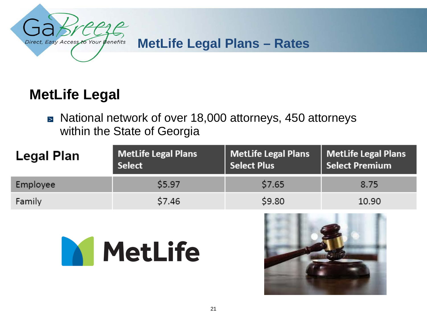

#### **MetLife Legal Plans – Rates**

#### **MetLife Legal**

■ National network of over 18,000 attorneys, 450 attorneys within the State of Georgia

| <b>Legal Plan</b> | <b>MetLife Legal Plans</b><br><b>Select</b> | <b>MetLife Legal Plans</b><br><b>Select Plus</b> | <b>MetLife Legal Plans</b><br><b>Select Premium</b> |
|-------------------|---------------------------------------------|--------------------------------------------------|-----------------------------------------------------|
| Employee          | \$5.97                                      | \$7.65                                           | 8.75                                                |
| Family            | \$7.46                                      | \$9.80                                           | 10.90                                               |



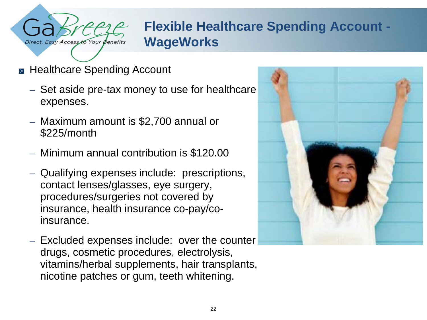

#### **Flexible Healthcare Spending Account - WageWorks**

- Healthcare Spending Account
	- Set aside pre-tax money to use for healthcare expenses.
	- Maximum amount is \$2,700 annual or \$225/month
	- Minimum annual contribution is \$120.00
	- Qualifying expenses include: prescriptions, contact lenses/glasses, eye surgery, procedures/surgeries not covered by insurance, health insurance co-pay/coinsurance.
	- Excluded expenses include: over the counter drugs, cosmetic procedures, electrolysis, vitamins/herbal supplements, hair transplants, nicotine patches or gum, teeth whitening.

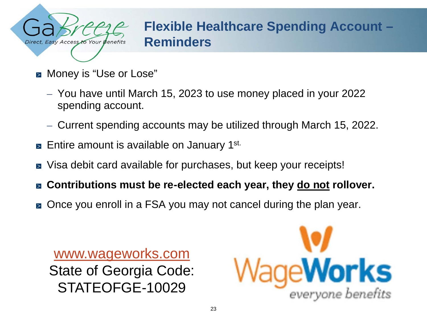

#### **Flexible Healthcare Spending Account – Reminders**

- Money is "Use or Lose"
	- You have until March 15, 2023 to use money placed in your 2022 spending account.
	- Current spending accounts may be utilized through March 15, 2022.
- $\triangleright$  Entire amount is available on January 1<sup>st.</sup>
- Visa debit card available for purchases, but keep your receipts!  $\geq$
- **Contributions must be re-elected each year, they do not rollover.**  $\geq$
- Once you enroll in a FSA you may not cancel during the plan year.  $\geq$

[www.wageworks.com](http://www.wageworks.com/) State of Georgia Code: STATEOFGE-10029

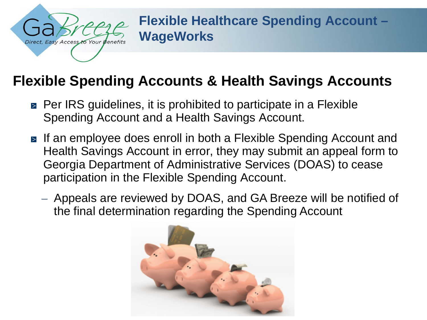

**Flexible Healthcare Spending Account – WageWorks**

#### **Flexible Spending Accounts & Health Savings Accounts**

- **Per IRS guidelines, it is prohibited to participate in a Flexible** Spending Account and a Health Savings Account.
- **■** If an employee does enroll in both a Flexible Spending Account and Health Savings Account in error, they may submit an appeal form to Georgia Department of Administrative Services (DOAS) to cease participation in the Flexible Spending Account.
	- Appeals are reviewed by DOAS, and GA Breeze will be notified of the final determination regarding the Spending Account

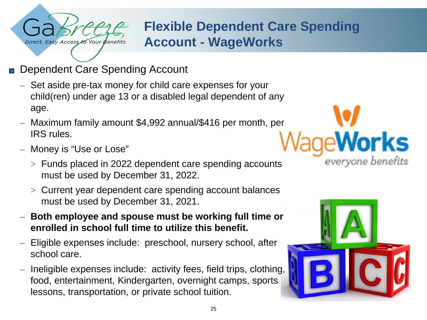

#### **Flexible Dependent Care Spending Account - WageWorks**

- Dependent Care Spending Account  $\geq$ 
	- Set aside pre-tax money for child care expenses for your child(ren) under age 13 or a disabled legal dependent of any age.
	- Maximum family amount \$4,992 annual/\$416 per month, per IRS rules.
	- Money is "Use or Lose"
		- > Funds placed in 2022 dependent care spending accounts must be used by December 31, 2022.
		- > Current year dependent care spending account balances must be used by December 31, 2021.
	- **Both employee and spouse must be working full time or enrolled in school full time to utilize this benefit.**
	- Eligible expenses include: preschool, nursery school, after school care.
	- Ineligible expenses include: activity fees, field trips, clothing, food, entertainment, Kindergarten, overnight camps, sports lessons, transportation, or private school tuition.



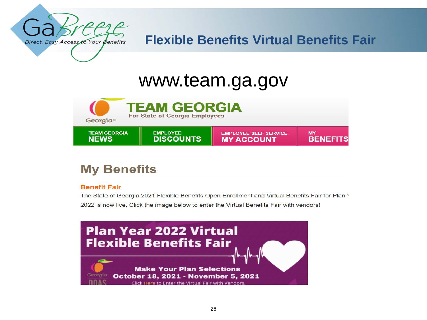

#### **Flexible Benefits Virtual Benefits Fair**

## www.team.ga.gov



#### **My Benefits**

#### **Benefit Fair**

The State of Georgia 2021 Flexible Benefits Open Enrollment and Virtual Benefits Fair for Plan \ 2022 is now live. Click the image below to enter the Virtual Benefits Fair with vendors!

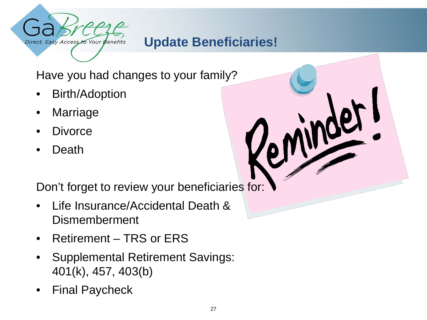

#### **Update Beneficiaries!**

Have you had changes to your family?

- Birth/Adoption
- **Marriage**
- **Divorce**
- Death

Don't forget to review your beneficiaries for:

- Life Insurance/Accidental Death & Dismemberment
- Retirement TRS or ERS
- Supplemental Retirement Savings: 401(k), 457, 403(b)
- Final Paycheck